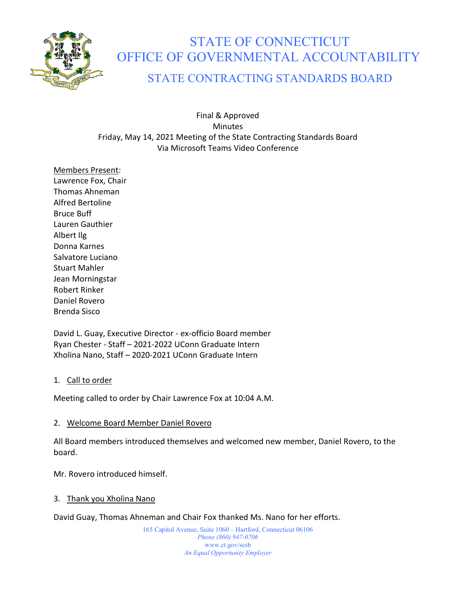

# STATE OF CONNECTICUT OFFICE OF GOVERNMENTAL ACCOUNTABILITY

## STATE CONTRACTING STANDARDS BOARD

Final & Approved **Minutes** Friday, May 14, 2021 Meeting of the State Contracting Standards Board Via Microsoft Teams Video Conference

Members Present: Lawrence Fox, Chair Thomas Ahneman Alfred Bertoline Bruce Buff Lauren Gauthier Albert Ilg Donna Karnes Salvatore Luciano Stuart Mahler Jean Morningstar Robert Rinker Daniel Rovero Brenda Sisco

David L. Guay, Executive Director - ex-officio Board member Ryan Chester - Staff – 2021-2022 UConn Graduate Intern Xholina Nano, Staff – 2020-2021 UConn Graduate Intern

#### 1. Call to order

Meeting called to order by Chair Lawrence Fox at 10:04 A.M.

#### 2. Welcome Board Member Daniel Rovero

All Board members introduced themselves and welcomed new member, Daniel Rovero, to the board.

Mr. Rovero introduced himself.

#### 3. Thank you Xholina Nano

David Guay, Thomas Ahneman and Chair Fox thanked Ms. Nano for her efforts.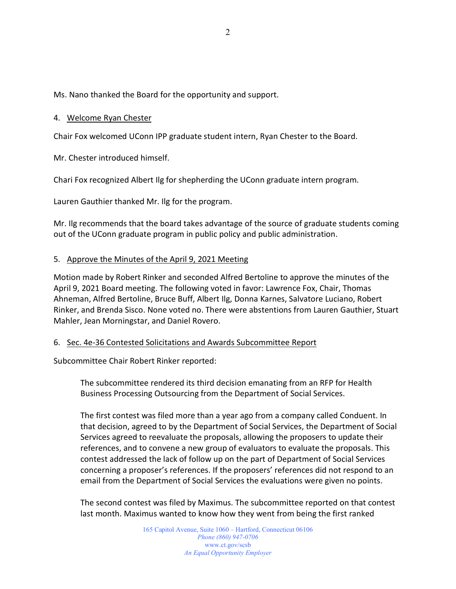Ms. Nano thanked the Board for the opportunity and support.

#### 4. Welcome Ryan Chester

Chair Fox welcomed UConn IPP graduate student intern, Ryan Chester to the Board.

Mr. Chester introduced himself.

Chari Fox recognized Albert Ilg for shepherding the UConn graduate intern program.

Lauren Gauthier thanked Mr. Ilg for the program.

Mr. Ilg recommends that the board takes advantage of the source of graduate students coming out of the UConn graduate program in public policy and public administration.

#### 5. Approve the Minutes of the April 9, 2021 Meeting

Motion made by Robert Rinker and seconded Alfred Bertoline to approve the minutes of the April 9, 2021 Board meeting. The following voted in favor: Lawrence Fox, Chair, Thomas Ahneman, Alfred Bertoline, Bruce Buff, Albert Ilg, Donna Karnes, Salvatore Luciano, Robert Rinker, and Brenda Sisco. None voted no. There were abstentions from Lauren Gauthier, Stuart Mahler, Jean Morningstar, and Daniel Rovero.

#### 6. Sec. 4e-36 Contested Solicitations and Awards Subcommittee Report

Subcommittee Chair Robert Rinker reported:

The subcommittee rendered its third decision emanating from an RFP for Health Business Processing Outsourcing from the Department of Social Services.

The first contest was filed more than a year ago from a company called Conduent. In that decision, agreed to by the Department of Social Services, the Department of Social Services agreed to reevaluate the proposals, allowing the proposers to update their references, and to convene a new group of evaluators to evaluate the proposals. This contest addressed the lack of follow up on the part of Department of Social Services concerning a proposer's references. If the proposers' references did not respond to an email from the Department of Social Services the evaluations were given no points.

The second contest was filed by Maximus. The subcommittee reported on that contest last month. Maximus wanted to know how they went from being the first ranked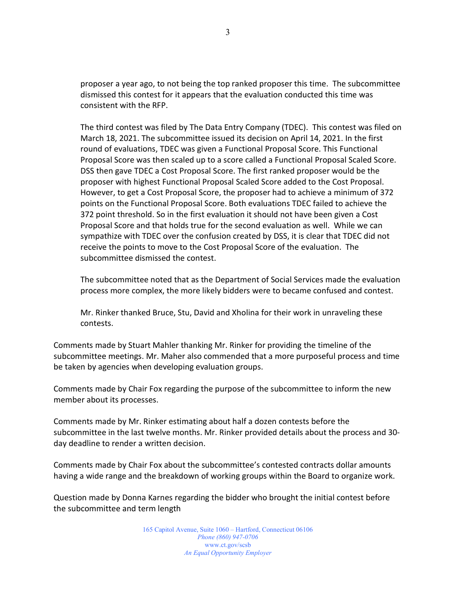proposer a year ago, to not being the top ranked proposer this time. The subcommittee dismissed this contest for it appears that the evaluation conducted this time was consistent with the RFP.

The third contest was filed by The Data Entry Company (TDEC). This contest was filed on March 18, 2021. The subcommittee issued its decision on April 14, 2021. In the first round of evaluations, TDEC was given a Functional Proposal Score. This Functional Proposal Score was then scaled up to a score called a Functional Proposal Scaled Score. DSS then gave TDEC a Cost Proposal Score. The first ranked proposer would be the proposer with highest Functional Proposal Scaled Score added to the Cost Proposal. However, to get a Cost Proposal Score, the proposer had to achieve a minimum of 372 points on the Functional Proposal Score. Both evaluations TDEC failed to achieve the 372 point threshold. So in the first evaluation it should not have been given a Cost Proposal Score and that holds true for the second evaluation as well. While we can sympathize with TDEC over the confusion created by DSS, it is clear that TDEC did not receive the points to move to the Cost Proposal Score of the evaluation. The subcommittee dismissed the contest.

The subcommittee noted that as the Department of Social Services made the evaluation process more complex, the more likely bidders were to became confused and contest.

Mr. Rinker thanked Bruce, Stu, David and Xholina for their work in unraveling these contests.

Comments made by Stuart Mahler thanking Mr. Rinker for providing the timeline of the subcommittee meetings. Mr. Maher also commended that a more purposeful process and time be taken by agencies when developing evaluation groups.

Comments made by Chair Fox regarding the purpose of the subcommittee to inform the new member about its processes.

Comments made by Mr. Rinker estimating about half a dozen contests before the subcommittee in the last twelve months. Mr. Rinker provided details about the process and 30 day deadline to render a written decision.

Comments made by Chair Fox about the subcommittee's contested contracts dollar amounts having a wide range and the breakdown of working groups within the Board to organize work.

Question made by Donna Karnes regarding the bidder who brought the initial contest before the subcommittee and term length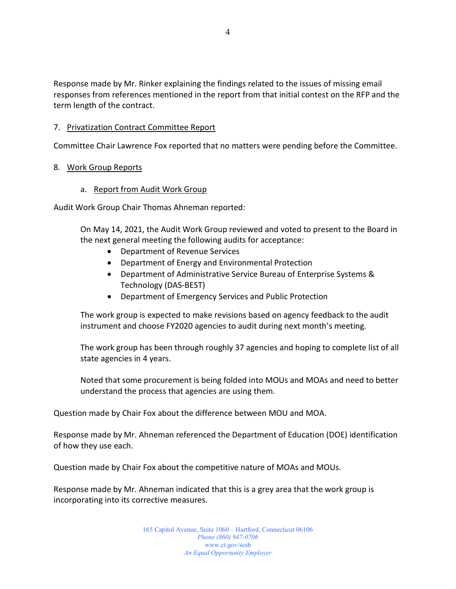Response made by Mr. Rinker explaining the findings related to the issues of missing email responses from references mentioned in the report from that initial contest on the RFP and the term length of the contract.

#### 7. Privatization Contract Committee Report

Committee Chair Lawrence Fox reported that no matters were pending before the Committee.

#### 8. Work Group Reports

a. Report from Audit Work Group

Audit Work Group Chair Thomas Ahneman reported:

On May 14, 2021, the Audit Work Group reviewed and voted to present to the Board in the next general meeting the following audits for acceptance:

- Department of Revenue Services
- Department of Energy and Environmental Protection
- Department of Administrative Service Bureau of Enterprise Systems & Technology (DAS-BEST)
- Department of Emergency Services and Public Protection

The work group is expected to make revisions based on agency feedback to the audit instrument and choose FY2020 agencies to audit during next month's meeting.

The work group has been through roughly 37 agencies and hoping to complete list of all state agencies in 4 years.

Noted that some procurement is being folded into MOUs and MOAs and need to better understand the process that agencies are using them.

Question made by Chair Fox about the difference between MOU and MOA.

Response made by Mr. Ahneman referenced the Department of Education (DOE) identification of how they use each.

Question made by Chair Fox about the competitive nature of MOAs and MOUs.

Response made by Mr. Ahneman indicated that this is a grey area that the work group is incorporating into its corrective measures.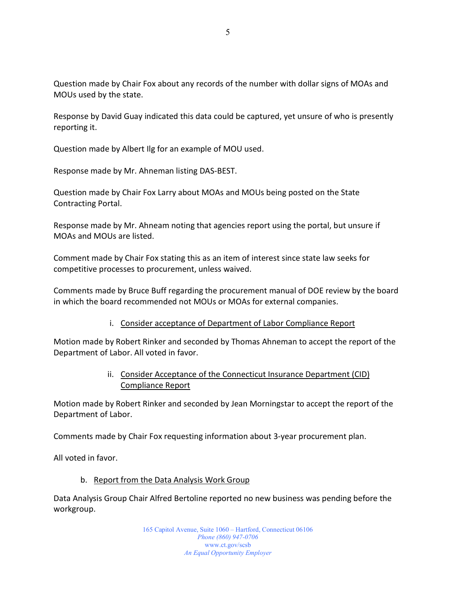Question made by Chair Fox about any records of the number with dollar signs of MOAs and MOUs used by the state.

Response by David Guay indicated this data could be captured, yet unsure of who is presently reporting it.

Question made by Albert Ilg for an example of MOU used.

Response made by Mr. Ahneman listing DAS-BEST.

Question made by Chair Fox Larry about MOAs and MOUs being posted on the State Contracting Portal.

Response made by Mr. Ahneam noting that agencies report using the portal, but unsure if MOAs and MOUs are listed.

Comment made by Chair Fox stating this as an item of interest since state law seeks for competitive processes to procurement, unless waived.

Comments made by Bruce Buff regarding the procurement manual of DOE review by the board in which the board recommended not MOUs or MOAs for external companies.

#### i. Consider acceptance of Department of Labor Compliance Report

Motion made by Robert Rinker and seconded by Thomas Ahneman to accept the report of the Department of Labor. All voted in favor.

### ii. Consider Acceptance of the Connecticut Insurance Department (CID) Compliance Report

Motion made by Robert Rinker and seconded by Jean Morningstar to accept the report of the Department of Labor.

Comments made by Chair Fox requesting information about 3-year procurement plan.

All voted in favor.

#### b. Report from the Data Analysis Work Group

Data Analysis Group Chair Alfred Bertoline reported no new business was pending before the workgroup.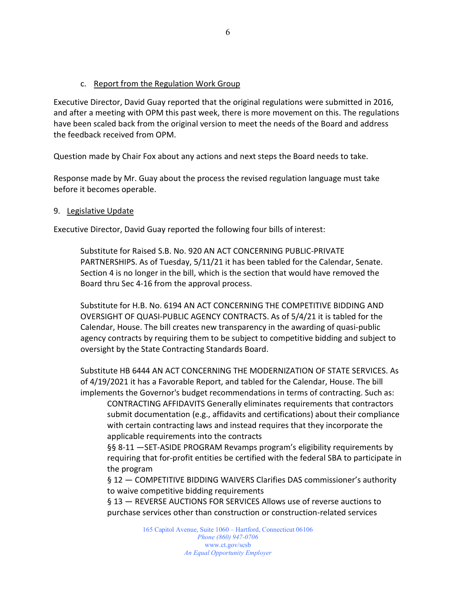#### c. Report from the Regulation Work Group

Executive Director, David Guay reported that the original regulations were submitted in 2016, and after a meeting with OPM this past week, there is more movement on this. The regulations have been scaled back from the original version to meet the needs of the Board and address the feedback received from OPM.

Question made by Chair Fox about any actions and next steps the Board needs to take.

Response made by Mr. Guay about the process the revised regulation language must take before it becomes operable.

#### 9. Legislative Update

Executive Director, David Guay reported the following four bills of interest:

Substitute for Raised S.B. No. 920 AN ACT CONCERNING PUBLIC-PRIVATE PARTNERSHIPS. As of Tuesday, 5/11/21 it has been tabled for the Calendar, Senate. Section 4 is no longer in the bill, which is the section that would have removed the Board thru Sec 4-16 from the approval process.

Substitute for H.B. No. 6194 AN ACT CONCERNING THE COMPETITIVE BIDDING AND OVERSIGHT OF QUASI-PUBLIC AGENCY CONTRACTS. As of 5/4/21 it is tabled for the Calendar, House. The bill creates new transparency in the awarding of quasi-public agency contracts by requiring them to be subject to competitive bidding and subject to oversight by the State Contracting Standards Board.

Substitute HB 6444 AN ACT CONCERNING THE MODERNIZATION OF STATE SERVICES. As of 4/19/2021 it has a Favorable Report, and tabled for the Calendar, House. The bill implements the Governor's budget recommendations in terms of contracting. Such as:

CONTRACTING AFFIDAVITS Generally eliminates requirements that contractors submit documentation (e.g., affidavits and certifications) about their compliance with certain contracting laws and instead requires that they incorporate the applicable requirements into the contracts

§§ 8-11 —SET-ASIDE PROGRAM Revamps program's eligibility requirements by requiring that for-profit entities be certified with the federal SBA to participate in the program

§ 12 — COMPETITIVE BIDDING WAIVERS Clarifies DAS commissioner's authority to waive competitive bidding requirements

§ 13 — REVERSE AUCTIONS FOR SERVICES Allows use of reverse auctions to purchase services other than construction or construction-related services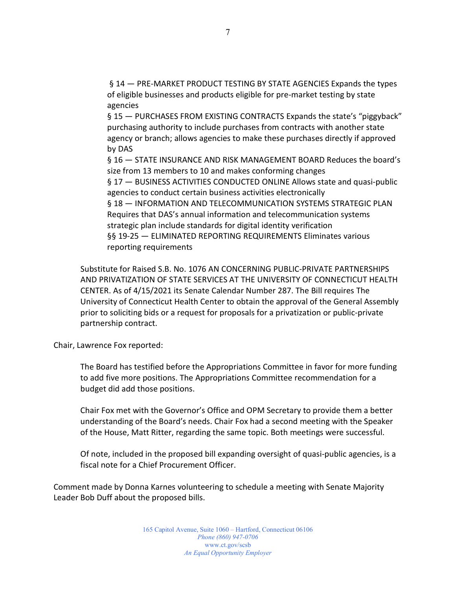§ 14 — PRE-MARKET PRODUCT TESTING BY STATE AGENCIES Expands the types of eligible businesses and products eligible for pre-market testing by state agencies

§ 15 — PURCHASES FROM EXISTING CONTRACTS Expands the state's "piggyback" purchasing authority to include purchases from contracts with another state agency or branch; allows agencies to make these purchases directly if approved by DAS

§ 16 — STATE INSURANCE AND RISK MANAGEMENT BOARD Reduces the board's size from 13 members to 10 and makes conforming changes

§ 17 — BUSINESS ACTIVITIES CONDUCTED ONLINE Allows state and quasi-public agencies to conduct certain business activities electronically

§ 18 — INFORMATION AND TELECOMMUNICATION SYSTEMS STRATEGIC PLAN Requires that DAS's annual information and telecommunication systems strategic plan include standards for digital identity verification §§ 19-25 — ELIMINATED REPORTING REQUIREMENTS Eliminates various reporting requirements

Substitute for Raised S.B. No. 1076 AN CONCERNING PUBLIC-PRIVATE PARTNERSHIPS AND PRIVATIZATION OF STATE SERVICES AT THE UNIVERSITY OF CONNECTICUT HEALTH CENTER. As of 4/15/2021 its Senate Calendar Number 287. The Bill requires The University of Connecticut Health Center to obtain the approval of the General Assembly prior to soliciting bids or a request for proposals for a privatization or public-private partnership contract.

Chair, Lawrence Fox reported:

The Board has testified before the Appropriations Committee in favor for more funding to add five more positions. The Appropriations Committee recommendation for a budget did add those positions.

Chair Fox met with the Governor's Office and OPM Secretary to provide them a better understanding of the Board's needs. Chair Fox had a second meeting with the Speaker of the House, Matt Ritter, regarding the same topic. Both meetings were successful.

Of note, included in the proposed bill expanding oversight of quasi-public agencies, is a fiscal note for a Chief Procurement Officer.

Comment made by Donna Karnes volunteering to schedule a meeting with Senate Majority Leader Bob Duff about the proposed bills.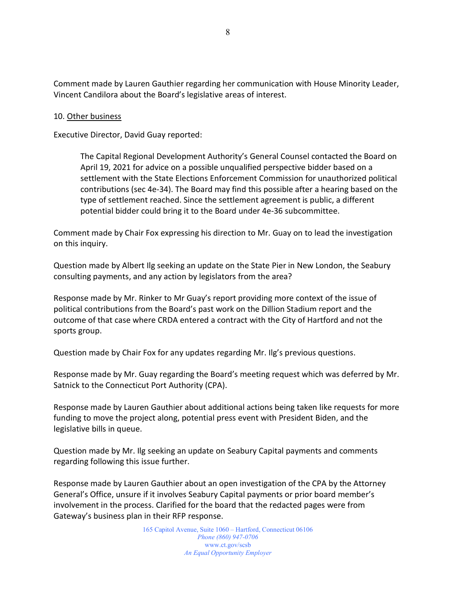Comment made by Lauren Gauthier regarding her communication with House Minority Leader, Vincent Candilora about the Board's legislative areas of interest.

#### 10. Other business

Executive Director, David Guay reported:

The Capital Regional Development Authority's General Counsel contacted the Board on April 19, 2021 for advice on a possible unqualified perspective bidder based on a settlement with the State Elections Enforcement Commission for unauthorized political contributions (sec 4e-34). The Board may find this possible after a hearing based on the type of settlement reached. Since the settlement agreement is public, a different potential bidder could bring it to the Board under 4e-36 subcommittee.

Comment made by Chair Fox expressing his direction to Mr. Guay on to lead the investigation on this inquiry.

Question made by Albert Ilg seeking an update on the State Pier in New London, the Seabury consulting payments, and any action by legislators from the area?

Response made by Mr. Rinker to Mr Guay's report providing more context of the issue of political contributions from the Board's past work on the Dillion Stadium report and the outcome of that case where CRDA entered a contract with the City of Hartford and not the sports group.

Question made by Chair Fox for any updates regarding Mr. Ilg's previous questions.

Response made by Mr. Guay regarding the Board's meeting request which was deferred by Mr. Satnick to the Connecticut Port Authority (CPA).

Response made by Lauren Gauthier about additional actions being taken like requests for more funding to move the project along, potential press event with President Biden, and the legislative bills in queue.

Question made by Mr. Ilg seeking an update on Seabury Capital payments and comments regarding following this issue further.

Response made by Lauren Gauthier about an open investigation of the CPA by the Attorney General's Office, unsure if it involves Seabury Capital payments or prior board member's involvement in the process. Clarified for the board that the redacted pages were from Gateway's business plan in their RFP response.